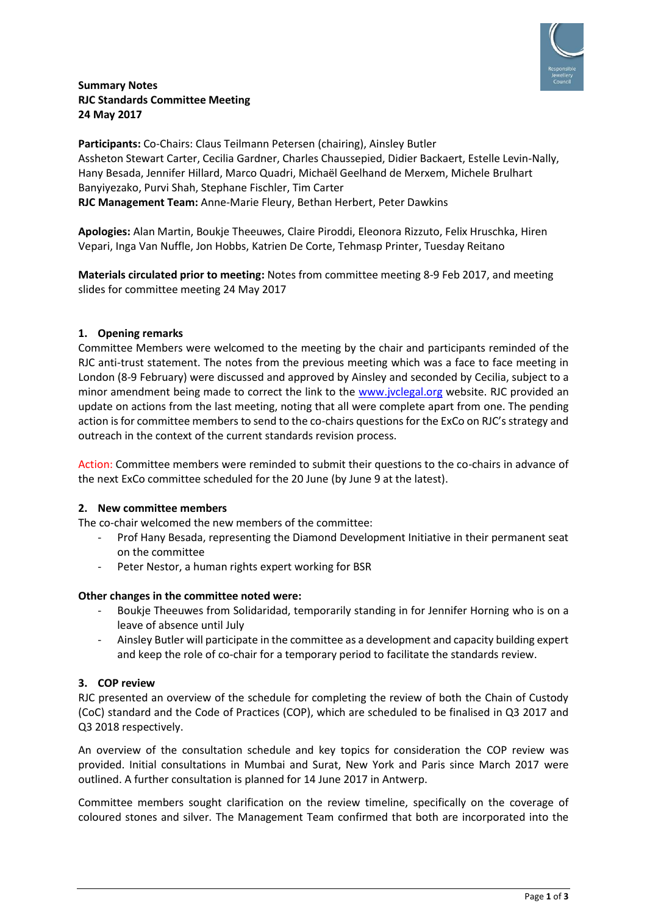

## **Summary Notes RJC Standards Committee Meeting 24 May 2017**

**Participants:** Co-Chairs: Claus Teilmann Petersen (chairing), Ainsley Butler Assheton Stewart Carter, Cecilia Gardner, Charles Chaussepied, Didier Backaert, Estelle Levin-Nally, Hany Besada, Jennifer Hillard, Marco Quadri, Michaël Geelhand de Merxem, Michele Brulhart Banyiyezako, Purvi Shah, Stephane Fischler, Tim Carter **RJC Management Team:** Anne-Marie Fleury, Bethan Herbert, Peter Dawkins

**Apologies:** Alan Martin, Boukje Theeuwes, Claire Piroddi, Eleonora Rizzuto, Felix Hruschka, Hiren Vepari, Inga Van Nuffle, Jon Hobbs, Katrien De Corte, Tehmasp Printer, Tuesday Reitano

**Materials circulated prior to meeting:** Notes from committee meeting 8-9 Feb 2017, and meeting slides for committee meeting 24 May 2017

## **1. Opening remarks**

Committee Members were welcomed to the meeting by the chair and participants reminded of the RJC anti-trust statement. The notes from the previous meeting which was a face to face meeting in London (8-9 February) were discussed and approved by Ainsley and seconded by Cecilia, subject to a minor amendment being made to correct the link to the [www.jvclegal.org](http://www.jvclegal.org/) website. RJC provided an update on actions from the last meeting, noting that all were complete apart from one. The pending action is for committee members to send to the co-chairs questions for the ExCo on RJC's strategy and outreach in the context of the current standards revision process.

Action: Committee members were reminded to submit their questions to the co-chairs in advance of the next ExCo committee scheduled for the 20 June (by June 9 at the latest).

#### **2. New committee members**

The co-chair welcomed the new members of the committee:

- Prof Hany Besada, representing the Diamond Development Initiative in their permanent seat on the committee
- Peter Nestor, a human rights expert working for BSR

#### **Other changes in the committee noted were:**

- Boukje Theeuwes from Solidaridad, temporarily standing in for Jennifer Horning who is on a leave of absence until July
- Ainsley Butler will participate in the committee as a development and capacity building expert and keep the role of co-chair for a temporary period to facilitate the standards review.

# **3. COP review**

RJC presented an overview of the schedule for completing the review of both the Chain of Custody (CoC) standard and the Code of Practices (COP), which are scheduled to be finalised in Q3 2017 and Q3 2018 respectively.

An overview of the consultation schedule and key topics for consideration the COP review was provided. Initial consultations in Mumbai and Surat, New York and Paris since March 2017 were outlined. A further consultation is planned for 14 June 2017 in Antwerp.

Committee members sought clarification on the review timeline, specifically on the coverage of coloured stones and silver. The Management Team confirmed that both are incorporated into the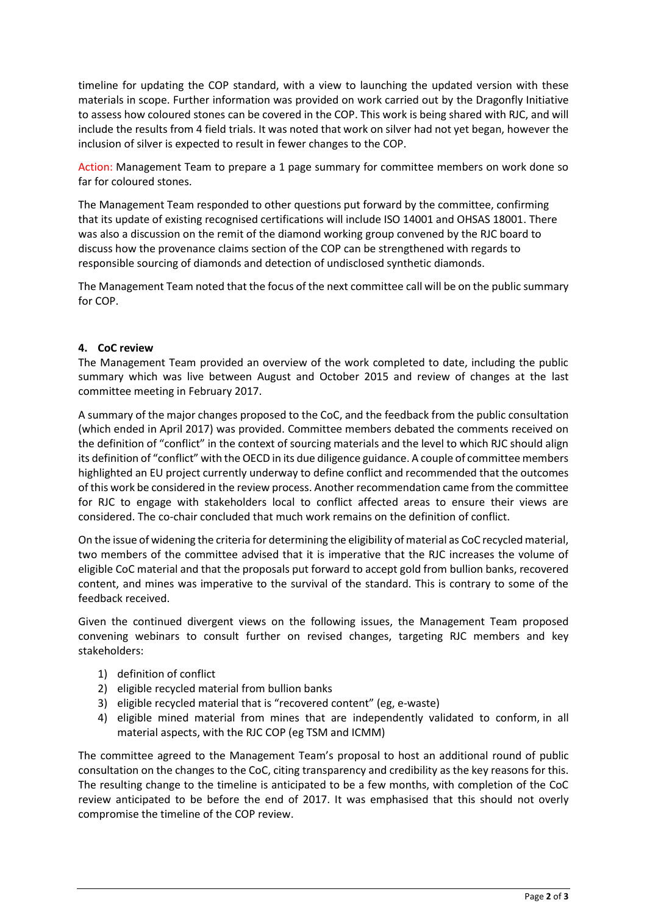timeline for updating the COP standard, with a view to launching the updated version with these materials in scope. Further information was provided on work carried out by the Dragonfly Initiative to assess how coloured stones can be covered in the COP. This work is being shared with RJC, and will include the results from 4 field trials. It was noted that work on silver had not yet began, however the inclusion of silver is expected to result in fewer changes to the COP.

Action: Management Team to prepare a 1 page summary for committee members on work done so far for coloured stones.

The Management Team responded to other questions put forward by the committee, confirming that its update of existing recognised certifications will include ISO 14001 and OHSAS 18001. There was also a discussion on the remit of the diamond working group convened by the RJC board to discuss how the provenance claims section of the COP can be strengthened with regards to responsible sourcing of diamonds and detection of undisclosed synthetic diamonds.

The Management Team noted that the focus of the next committee call will be on the public summary for COP.

## **4. CoC review**

The Management Team provided an overview of the work completed to date, including the public summary which was live between August and October 2015 and review of changes at the last committee meeting in February 2017.

A summary of the major changes proposed to the CoC, and the feedback from the public consultation (which ended in April 2017) was provided. Committee members debated the comments received on the definition of "conflict" in the context of sourcing materials and the level to which RJC should align its definition of "conflict" with the OECD in its due diligence guidance. A couple of committee members highlighted an EU project currently underway to define conflict and recommended that the outcomes of this work be considered in the review process. Another recommendation came from the committee for RJC to engage with stakeholders local to conflict affected areas to ensure their views are considered. The co-chair concluded that much work remains on the definition of conflict.

On the issue of widening the criteria for determining the eligibility of material as CoC recycled material, two members of the committee advised that it is imperative that the RJC increases the volume of eligible CoC material and that the proposals put forward to accept gold from bullion banks, recovered content, and mines was imperative to the survival of the standard. This is contrary to some of the feedback received.

Given the continued divergent views on the following issues, the Management Team proposed convening webinars to consult further on revised changes, targeting RJC members and key stakeholders:

- 1) definition of conflict
- 2) eligible recycled material from bullion banks
- 3) eligible recycled material that is "recovered content" (eg, e-waste)
- 4) eligible mined material from mines that are independently validated to conform, in all material aspects, with the RJC COP (eg TSM and ICMM)

The committee agreed to the Management Team's proposal to host an additional round of public consultation on the changes to the CoC, citing transparency and credibility as the key reasons for this. The resulting change to the timeline is anticipated to be a few months, with completion of the CoC review anticipated to be before the end of 2017. It was emphasised that this should not overly compromise the timeline of the COP review.